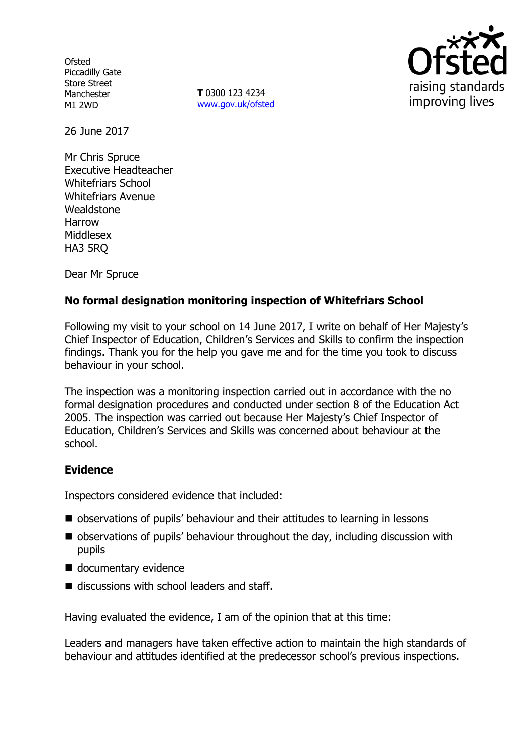**Ofsted** Piccadilly Gate Store Street Manchester M1 2WD

**T** 0300 123 4234 www.gov.uk/ofsted



26 June 2017

Mr Chris Spruce Executive Headteacher Whitefriars School Whitefriars Avenue **Wealdstone** Harrow Middlesex HA3 5RQ

Dear Mr Spruce

# **No formal designation monitoring inspection of Whitefriars School**

Following my visit to your school on 14 June 2017, I write on behalf of Her Majesty's Chief Inspector of Education, Children's Services and Skills to confirm the inspection findings. Thank you for the help you gave me and for the time you took to discuss behaviour in your school.

The inspection was a monitoring inspection carried out in accordance with the no formal designation procedures and conducted under section 8 of the Education Act 2005. The inspection was carried out because Her Majesty's Chief Inspector of Education, Children's Services and Skills was concerned about behaviour at the school.

## **Evidence**

Inspectors considered evidence that included:

- observations of pupils' behaviour and their attitudes to learning in lessons
- observations of pupils' behaviour throughout the day, including discussion with pupils
- documentary evidence
- $\blacksquare$  discussions with school leaders and staff.

Having evaluated the evidence, I am of the opinion that at this time:

Leaders and managers have taken effective action to maintain the high standards of behaviour and attitudes identified at the predecessor school's previous inspections.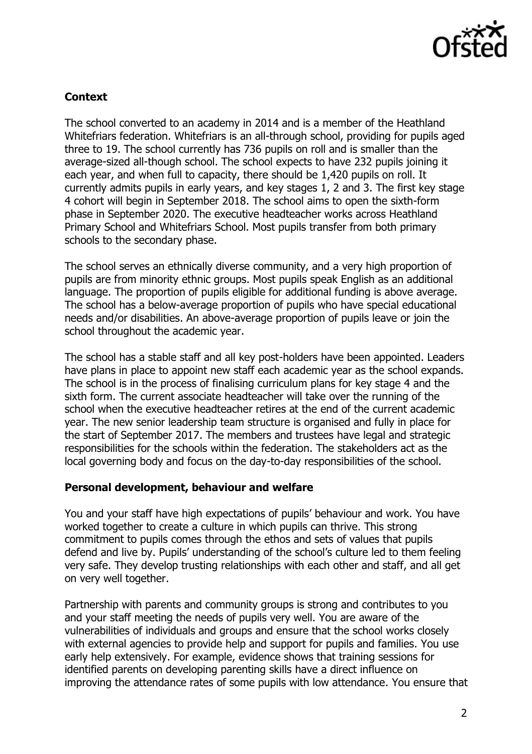

# **Context**

The school converted to an academy in 2014 and is a member of the Heathland Whitefriars federation. Whitefriars is an all-through school, providing for pupils aged three to 19. The school currently has 736 pupils on roll and is smaller than the average-sized all-though school. The school expects to have 232 pupils joining it each year, and when full to capacity, there should be 1,420 pupils on roll. It currently admits pupils in early years, and key stages 1, 2 and 3. The first key stage 4 cohort will begin in September 2018. The school aims to open the sixth-form phase in September 2020. The executive headteacher works across Heathland Primary School and Whitefriars School. Most pupils transfer from both primary schools to the secondary phase.

The school serves an ethnically diverse community, and a very high proportion of pupils are from minority ethnic groups. Most pupils speak English as an additional language. The proportion of pupils eligible for additional funding is above average. The school has a below-average proportion of pupils who have special educational needs and/or disabilities. An above-average proportion of pupils leave or join the school throughout the academic year.

The school has a stable staff and all key post-holders have been appointed. Leaders have plans in place to appoint new staff each academic year as the school expands. The school is in the process of finalising curriculum plans for key stage 4 and the sixth form. The current associate headteacher will take over the running of the school when the executive headteacher retires at the end of the current academic year. The new senior leadership team structure is organised and fully in place for the start of September 2017. The members and trustees have legal and strategic responsibilities for the schools within the federation. The stakeholders act as the local governing body and focus on the day-to-day responsibilities of the school.

## **Personal development, behaviour and welfare**

You and your staff have high expectations of pupils' behaviour and work. You have worked together to create a culture in which pupils can thrive. This strong commitment to pupils comes through the ethos and sets of values that pupils defend and live by. Pupils' understanding of the school's culture led to them feeling very safe. They develop trusting relationships with each other and staff, and all get on very well together.

Partnership with parents and community groups is strong and contributes to you and your staff meeting the needs of pupils very well. You are aware of the vulnerabilities of individuals and groups and ensure that the school works closely with external agencies to provide help and support for pupils and families. You use early help extensively. For example, evidence shows that training sessions for identified parents on developing parenting skills have a direct influence on improving the attendance rates of some pupils with low attendance. You ensure that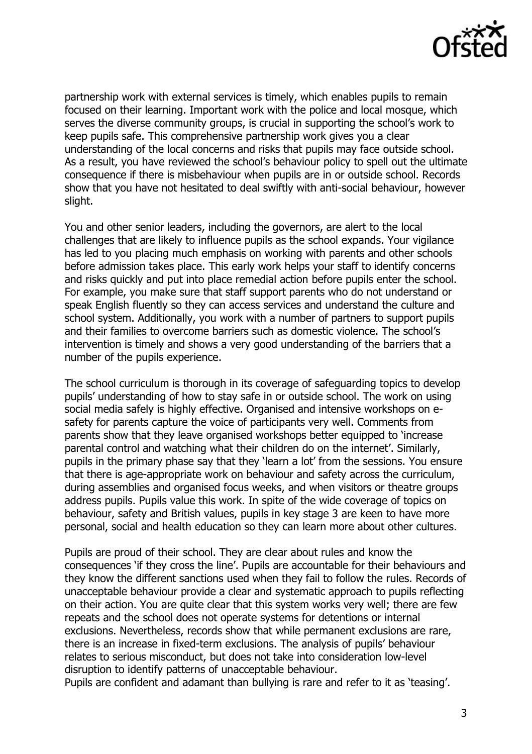

partnership work with external services is timely, which enables pupils to remain focused on their learning. Important work with the police and local mosque, which serves the diverse community groups, is crucial in supporting the school's work to keep pupils safe. This comprehensive partnership work gives you a clear understanding of the local concerns and risks that pupils may face outside school. As a result, you have reviewed the school's behaviour policy to spell out the ultimate consequence if there is misbehaviour when pupils are in or outside school. Records show that you have not hesitated to deal swiftly with anti-social behaviour, however slight.

You and other senior leaders, including the governors, are alert to the local challenges that are likely to influence pupils as the school expands. Your vigilance has led to you placing much emphasis on working with parents and other schools before admission takes place. This early work helps your staff to identify concerns and risks quickly and put into place remedial action before pupils enter the school. For example, you make sure that staff support parents who do not understand or speak English fluently so they can access services and understand the culture and school system. Additionally, you work with a number of partners to support pupils and their families to overcome barriers such as domestic violence. The school's intervention is timely and shows a very good understanding of the barriers that a number of the pupils experience.

The school curriculum is thorough in its coverage of safeguarding topics to develop pupils' understanding of how to stay safe in or outside school. The work on using social media safely is highly effective. Organised and intensive workshops on esafety for parents capture the voice of participants very well. Comments from parents show that they leave organised workshops better equipped to 'increase parental control and watching what their children do on the internet'. Similarly, pupils in the primary phase say that they 'learn a lot' from the sessions. You ensure that there is age-appropriate work on behaviour and safety across the curriculum, during assemblies and organised focus weeks, and when visitors or theatre groups address pupils. Pupils value this work. In spite of the wide coverage of topics on behaviour, safety and British values, pupils in key stage 3 are keen to have more personal, social and health education so they can learn more about other cultures.

Pupils are proud of their school. They are clear about rules and know the consequences 'if they cross the line'. Pupils are accountable for their behaviours and they know the different sanctions used when they fail to follow the rules. Records of unacceptable behaviour provide a clear and systematic approach to pupils reflecting on their action. You are quite clear that this system works very well; there are few repeats and the school does not operate systems for detentions or internal exclusions. Nevertheless, records show that while permanent exclusions are rare, there is an increase in fixed-term exclusions. The analysis of pupils' behaviour relates to serious misconduct, but does not take into consideration low-level disruption to identify patterns of unacceptable behaviour.

Pupils are confident and adamant than bullying is rare and refer to it as 'teasing'.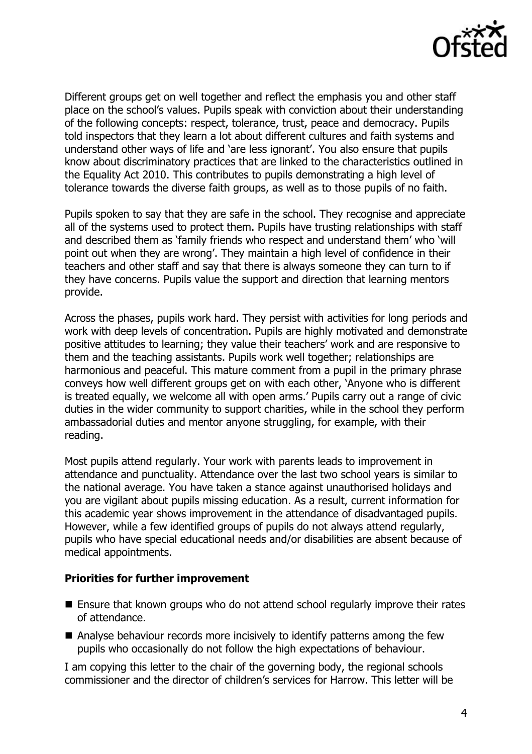

Different groups get on well together and reflect the emphasis you and other staff place on the school's values. Pupils speak with conviction about their understanding of the following concepts: respect, tolerance, trust, peace and democracy. Pupils told inspectors that they learn a lot about different cultures and faith systems and understand other ways of life and 'are less ignorant'. You also ensure that pupils know about discriminatory practices that are linked to the characteristics outlined in the Equality Act 2010. This contributes to pupils demonstrating a high level of tolerance towards the diverse faith groups, as well as to those pupils of no faith.

Pupils spoken to say that they are safe in the school. They recognise and appreciate all of the systems used to protect them. Pupils have trusting relationships with staff and described them as 'family friends who respect and understand them' who 'will point out when they are wrong'. They maintain a high level of confidence in their teachers and other staff and say that there is always someone they can turn to if they have concerns. Pupils value the support and direction that learning mentors provide.

Across the phases, pupils work hard. They persist with activities for long periods and work with deep levels of concentration. Pupils are highly motivated and demonstrate positive attitudes to learning; they value their teachers' work and are responsive to them and the teaching assistants. Pupils work well together; relationships are harmonious and peaceful. This mature comment from a pupil in the primary phrase conveys how well different groups get on with each other, 'Anyone who is different is treated equally, we welcome all with open arms.' Pupils carry out a range of civic duties in the wider community to support charities, while in the school they perform ambassadorial duties and mentor anyone struggling, for example, with their reading.

Most pupils attend regularly. Your work with parents leads to improvement in attendance and punctuality. Attendance over the last two school years is similar to the national average. You have taken a stance against unauthorised holidays and you are vigilant about pupils missing education. As a result, current information for this academic year shows improvement in the attendance of disadvantaged pupils. However, while a few identified groups of pupils do not always attend regularly, pupils who have special educational needs and/or disabilities are absent because of medical appointments.

#### **Priorities for further improvement**

- Ensure that known groups who do not attend school regularly improve their rates of attendance.
- Analyse behaviour records more incisively to identify patterns among the few pupils who occasionally do not follow the high expectations of behaviour.

I am copying this letter to the chair of the governing body, the regional schools commissioner and the director of children's services for Harrow. This letter will be